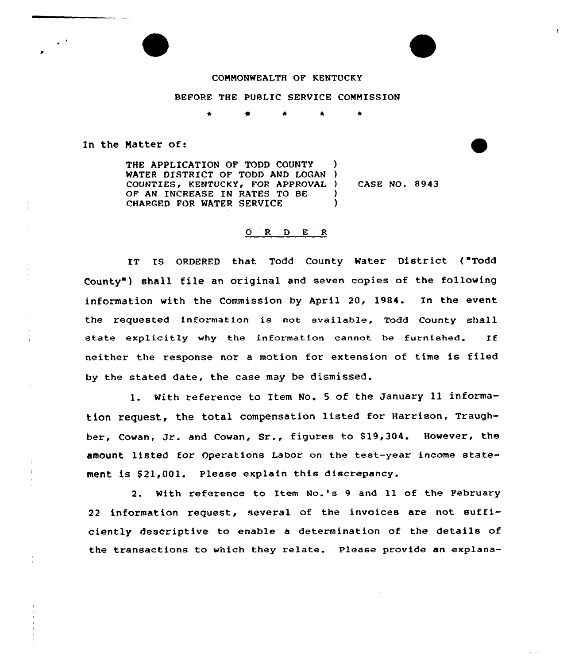## COMMONWEALTH OP KENTUCKY

## BEFORE THE PUBLIC SERVICE COMMISSION

In the Natter of:

THE APPLICATION OP TODD COUNTY WATER DISTRICT OF TODD AND LOGAN ) COUNTIES, KENTUCKY, FOR APPROVAL ) OF AM INCREASE IN RATES TO BE CHARGED FOR WATER SERVICE ) CASE NO. 8943 ) )

## $O$   $R$   $D$   $E$   $R$

IT IS ORDERED that Todd County Water District ("Todd County" ) shell file an original and seven copies of the following information with the Commission by April 20, 1984. In the event the requested information is not available, Todd County shall state explicitly why the information cannot be furnished. If neither the response nor a motion for extension of time is filed by the stated date, the case may be dismissed.

1. With reference to Item No. 5 of the January 11 information request, the total compensation listed for Harrison, Traughber, Cowan, Jr. and Cowan, Sr., figures to \$ 19,304. However, the amount listed for operations Labor on the test-year income statement is \$21,001. Please explain this discrepancy.

2. With reference to Item No.'s 9 and 11 of the Pebruary <sup>22</sup> information request, several of the invoices are not sufficiently descriptive to enable a determination of the details of the transactions to which they relate. Please provide an explana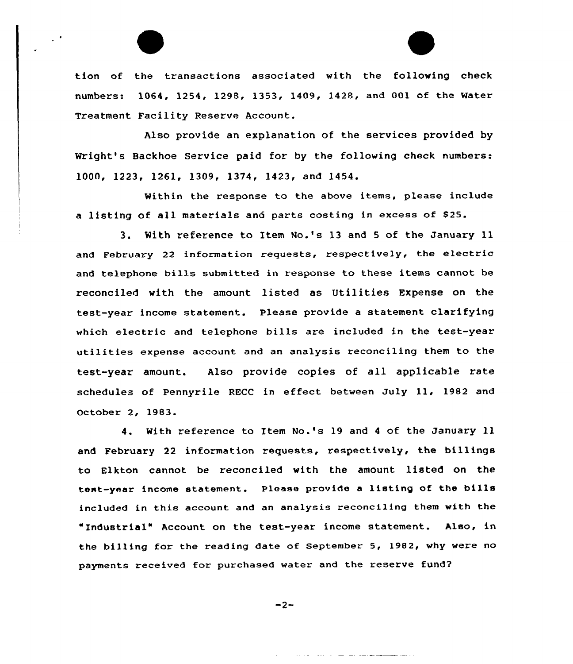tion of the transactions associated with the following check numbers. 1064, 1254, 1298, 1353, 1409, 1428, and 001 of the Mater Treatment Facility Reserve Account.

Also provide an explanation of the services provided by Wright's Backhoe Service paid for by the following check numbers: lOOA, 1223, 1261, 1309, 1374, 1423, and 1454.

Within the response to the above items, please include <sup>a</sup> listing of all materials and parts costing in excess of 825.

3. With reference to Item No.'s 13 and <sup>5</sup> of the January ll and February <sup>22</sup> information requests, respectively, the electric and telephone bills submitted in response to these items cannot be reconci1ed with the amount listed as Utilities Expense on the test-year income statement. Please provide a statement clarifying which electric and telephone bills are included in the test-year utilities expense account and an analysis reconciling them to the test-year amount. Also provide copies of all applicable rate schedules of pennyrile RECC in effect between July ll, <sup>1982</sup> and October 2, 1983.

4. With reference to Item No.'s 19 and <sup>4</sup> of the January ll and February 22 information requests, xespectively, the billings to Elkton cannot be reconciled with the amount listed on the test-year income statement. Please provide <sup>a</sup> listing of the bills included in this account and an analysis reconciling them with the "Industrial" Account on the test-year income statement. Also, in the billing for the reading date of September 5, 1982, why were no payments received for purchased water and the reserve fund2

 $-2-$ 

فتناصرهما المتناجب المتاريخ والمدارية